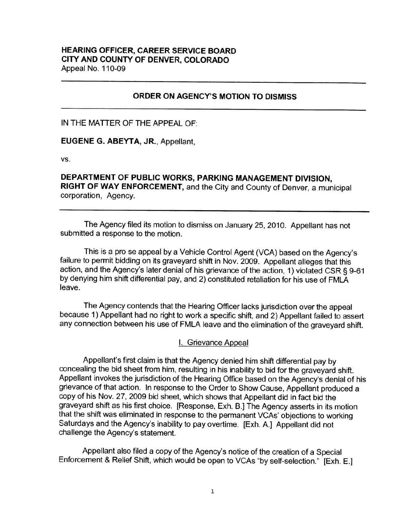## **HEARING OFFICER, CAREER SERVICE BOARD CITY AND COUNTY OF DENVER, COLORADO**  Appeal No. 110-09

### **ORDER ON AGENCY'S MOTION TO DISMISS**

IN THE MATTER OF THE APPEAL OF:

**EUGENE G. ABEYTA, JR.,** Appellant,

vs.

**DEPARTMENT OF PUBLIC WORKS, PARKING MANAGEMENT DIVISION, RIGHT OF WAY ENFORCEMENT,** and the City and County of Denver, a municipal corporation, Agency.

The Agency filed its motion to dismiss on January 25, 2010. Appellant has not submitted a response to the motion.

This is a pro se appeal by a Vehicle Control Agent (VCA) based on the Agency's failure to permit bidding on its graveyard shift in Nov. 2009. Appellant alleges that this action, and the Agency's later denial of his grievance of the action, 1) violated CSR§ 9-61 by denying him shift differential pay, and 2) constituted retaliation for his use of FMLA leave.

The Agency contends that the Hearing Officer lacks jurisdiction over the appeal because 1) Appellant had no right to work a specific shift, and 2) Appellant failed to assert any connection between his use of FMLA leave and the elimination of the graveyard shift.

I. Grievance Appeal

Appellant's first claim is that the Agency denied him shift differential pay by concealing the bid sheet from him, resulting in his inability to bid for the graveyard shift. Appellant invokes the jurisdiction of the Hearing Office based on the Agency's denial of his grievance of that action. In response to the Order to Show Cause, Appellant produced a copy of his Nov. 27, 2009 bid sheet, which shows that Appellant did in fact bid the graveyard shift as his first choice. [Response, Exh. B.] The Agency asserts in its motion that the shift was eliminated in response to the permanent VCAs' objections to working Saturdays and the Agency's inability to pay overtime. [Exh. A.] Appellant did not challenge the Agency's statement.

Appellant also filed a copy of the Agency's notice of the creation of a Special Enforcement & Relief Shift, which would be open to VCAs "by self-selection." [Exh. E.]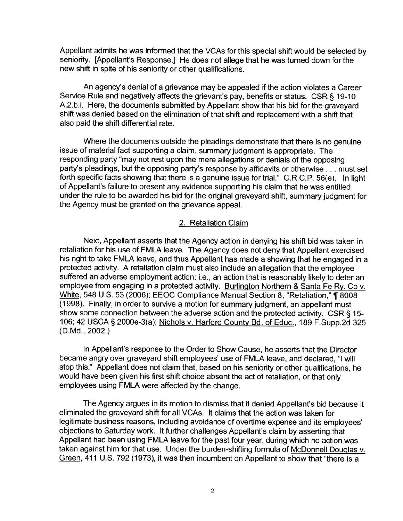Appellant admits he was informed that the VCAs for this special shift would be selected by seniority. [Appellant's Response.] He does not allege that he was turned down for the new shift in spite of his seniority or other qualifications.

An agency's denial of a grievance may be appealed if the action violates a Career Service Rule and negatively affects the grievant's pay, benefits or status. CSR § 19-10 A.2.b.i. Here, the documents submitted by Appellant show that his bid for the graveyard shift was denied based on the elimination of that shift and replacement **with** a shift that also paid the shift differential rate.

Where the documents outside the pleadings demonstrate that there is no genuine issue of material fact supporting a claim, summary judgment is appropriate. The responding party "may not rest upon the mere allegations or denials of the opposing party's pleadings, but the opposing party's response by affidavits or otherwise . .. must set forth specific facts showing that there is a genuine issue for trial." C.R.C.P. 56(e). In light of Appellant's failure to present any evidence supporting his claim that he was entitled under the rule to be awarded his bid for the original graveyard shift, summary judgment for the Agency must be granted on the grievance appeal.

# 2. Retaliation Claim

Next, Appellant asserts that the Agency action in denying his shift bid was taken in retaliation for his use of FMLA leave. The Agency does not deny that Appellant exercised his right to take FMLA leave, and thus Appellant has made a showing that he engaged in a protected activity. A retaliation claim must also include an allegation that the employee suffered an adverse employment action; i.e., an action that is reasonably likely to deter an employee from engaging in a protected activity. Burlington Northern & Santa Fe Ry. Co v. White, 548 U.S. 53 (2006); EEOC Compliance Manual Section 8, "Retaliation," ¶ 8008 ( 1998). Finally, in order to survive a motion for summary judgment, an appellant must show some connection between the adverse action and the protected activity. CSR § 15-106; 42 USCA § 2000e-3(a); Nichols v. Harford County Bd. of Educ., 189 F.Supp.2d 325 **(D.Md., 2002.)** 

In Appellant's response to the Order to Show Cause, he asserts that the Director became angry over graveyard shift employees' use of FMLA leave, and declared, "I will stop this." Appellant does not claim that, based on his seniority or other qualifications, he would have been given his first shift choice absent the act of retaliation, or that only employees using FMLA were affected by the change.

The Agency argues in its motion to dismiss that it denied Appellant's bid because it eliminated the graveyard shift for all VCAs. It claims that the action was taken for legitimate business reasons, including avoidance of overtime expense and its employees' objections to Saturday work. It further challenges Appellant's claim by asserting that Appellant had been using FMLA leave for the past four year, during which no action was taken against him for that use. Under the burden-shifting formula of McDonnell Douglas v. Green, 411 U.S. 792 (1973), it was then incumbent on Appellant to show that "there is a